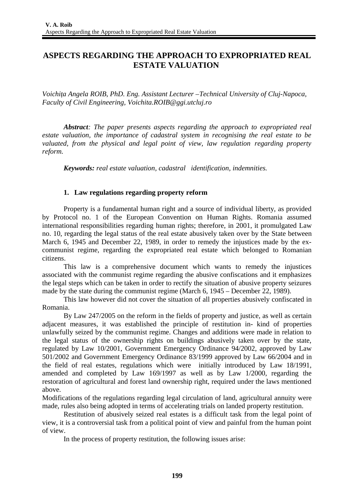# **ASPECTS REGARDING THE APPROACH TO EXPROPRIATED REAL ESTATE VALUATION**

*Voichiţa Angela ROIB, PhD. Eng. Assistant Lecturer –Technical University of Cluj-Napoca, Faculty of Civil Engineering, Voichita.ROIB@ggi.utcluj.ro*

*Abstract: The paper presents aspects regarding the approach to expropriated real estate valuation, the importance of cadastral system in recognising the real estate to be valuated, from the physical and legal point of view, law regulation regarding property reform.*

*Keywords: real estate valuation, cadastral identification, indemnities.* 

# **1. Law regulations regarding property reform**

Property is a fundamental human right and a source of individual liberty, as provided by Protocol no. 1 of the European Convention on Human Rights. Romania assumed international responsibilities regarding human rights; therefore, in 2001, it promulgated Law no. 10, regarding the legal status of the real estate abusively taken over by the State between March 6, 1945 and December 22, 1989, in order to remedy the injustices made by the excommunist regime, regarding the expropriated real estate which belonged to Romanian citizens.

This law is a comprehensive document which wants to remedy the injustices associated with the communist regime regarding the abusive confiscations and it emphasizes the legal steps which can be taken in order to rectify the situation of abusive property seizures made by the state during the communist regime (March 6, 1945 – December 22, 1989).

This law however did not cover the situation of all properties abusively confiscated in Romania.

By Law 247/2005 on the reform in the fields of property and justice, as well as certain adjacent measures, it was established the principle of restitution in- kind of properties unlawfully seized by the communist regime. Changes and additions were made in relation to the legal status of the ownership rights on buildings abusively taken over by the state, regulated by Law 10/2001, Government Emergency Ordinance 94/2002, approved by Law 501/2002 and Government Emergency Ordinance 83/1999 approved by Law 66/2004 and in the field of real estates, regulations which were initially introduced by Law 18/1991, amended and completed by Law 169/1997 as well as by Law 1/2000, regarding the restoration of agricultural and forest land ownership right, required under the laws mentioned above.

Modifications of the regulations regarding legal circulation of land, agricultural annuity were made, rules also being adopted in terms of accelerating trials on landed property restitution.

Restitution of abusively seized real estates is a difficult task from the legal point of view, it is a controversial task from a political point of view and painful from the human point of view.

In the process of property restitution, the following issues arise: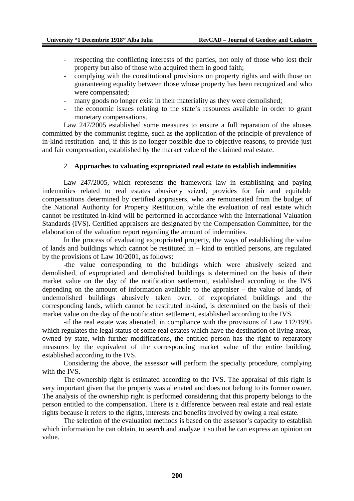- respecting the conflicting interests of the parties, not only of those who lost their property but also of those who acquired them in good faith;
- complying with the constitutional provisions on property rights and with those on guaranteeing equality between those whose property has been recognized and who were compensated;
- many goods no longer exist in their materiality as they were demolished;
- the economic issues relating to the state's resources available in order to grant monetary compensations.

Law 247/2005 established some measures to ensure a full reparation of the abuses committed by the communist regime, such as the application of the principle of prevalence of in-kind restitution and, if this is no longer possible due to objective reasons, to provide just and fair compensation, established by the market value of the claimed real estate.

#### 2. **Approaches to valuating expropriated real estate to establish indemnities**

Law 247/2005, which represents the framework law in establishing and paying indemnities related to real estates abusively seized, provides for fair and equitable compensations determined by certified appraisers, who are remunerated from the budget of the National Authority for Property Restitution, while the evaluation of real estate which cannot be restituted in-kind will be performed in accordance with the International Valuation Standards (IVS). Certified appraisers are designated by the Compensation Committee, for the elaboration of the valuation report regarding the amount of indemnities.

In the process of evaluating expropriated property, the ways of establishing the value of lands and buildings which cannot be restituted in – kind to entitled persons, are regulated by the provisions of Law 10/2001, as follows:

-the value corresponding to the buildings which were abusively seized and demolished, of expropriated and demolished buildings is determined on the basis of their market value on the day of the notification settlement, established according to the IVS depending on the amount of information available to the appraiser – the value of lands, of undemolished buildings abusively taken over, of expropriated buildings and the corresponding lands, which cannot be restituted in-kind, is determined on the basis of their market value on the day of the notification settlement, established according to the IVS.

-if the real estate was alienated, in compliance with the provisions of Law 112/1995 which regulates the legal status of some real estates which have the destination of living areas, owned by state, with further modifications, the entitled person has the right to reparatory measures by the equivalent of the corresponding market value of the entire building, established according to the IVS.

Considering the above, the assessor will perform the specialty procedure, complying with the IVS.

The ownership right is estimated according to the IVS. The appraisal of this right is very important given that the property was alienated and does not belong to its former owner. The analysis of the ownership right is performed considering that this property belongs to the person entitled to the compensation. There is a difference between real estate and real estate rights because it refers to the rights, interests and benefits involved by owing a real estate.

The selection of the evaluation methods is based on the assessor's capacity to establish which information he can obtain, to search and analyze it so that he can express an opinion on value.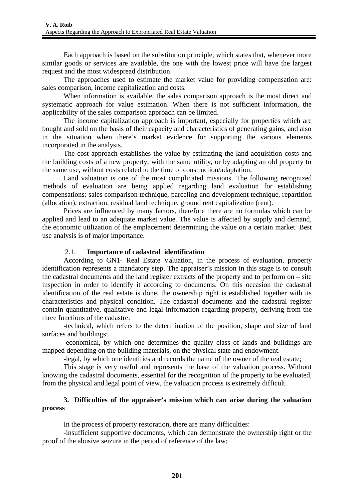Each approach is based on the substitution principle, which states that, whenever more similar goods or services are available, the one with the lowest price will have the largest request and the most widespread distribution.

The approaches used to estimate the market value for providing compensation are: sales comparison, income capitalization and costs.

When information is available, the sales comparison approach is the most direct and systematic approach for value estimation. When there is not sufficient information, the applicability of the sales comparison approach can be limited.

The income capitalization approach is important, especially for properties which are bought and sold on the basis of their capacity and characteristics of generating gains, and also in the situation when there's market evidence for supporting the various elements incorporated in the analysis.

The cost approach establishes the value by estimating the land acquisition costs and the building costs of a new property, with the same utility, or by adapting an old property to the same use, without costs related to the time of construction/adaptation.

Land valuation is one of the most complicated missions. The following recognized methods of evaluation are being applied regarding land evaluation for establishing compensations: sales comparison technique, parceling and development technique, repartition (allocation), extraction, residual land technique, ground rent capitalization (rent).

Prices are influenced by many factors, therefore there are no formulas which can be applied and lead to an adequate market value. The value is affected by supply and demand, the economic utilization of the emplacement determining the value on a certain market. Best use analysis is of major importance.

# 2.1. **Importance of cadastral****identification**

According to GN1- Real Estate Valuation, in the process of evaluation, property identification represents a mandatory step. The appraiser's mission in this stage is to consult the cadastral documents and the land register extracts of the property and to perform on  $-$  site inspection in order to identify it according to documents. On this occasion the cadastral identification of the real estate is done, the ownership right is established together with its characteristics and physical condition. The cadastral documents and the cadastral register contain quantitative, qualitative and legal information regarding property, deriving from the three functions of the cadastre:

-technical, which refers to the determination of the position, shape and size of land surfaces and buildings;

-economical, by which one determines the quality class of lands and buildings are mapped depending on the building materials, on the physical state and endowment.

-legal, by which one identifies and records the name of the owner of the real estate;

This stage is very useful and represents the base of the valuation process. Without knowing the cadastral documents, essential for the recognition of the property to be evaluated, from the physical and legal point of view, the valuation process is extremely difficult.

# **3. Difficulties of the appraiser's mission which can arise during the valuation process**

In the process of property restoration, there are many difficulties:

-insufficient supportive documents, which can demonstrate the ownership right or the proof of the abusive seizure in the period of reference of the law;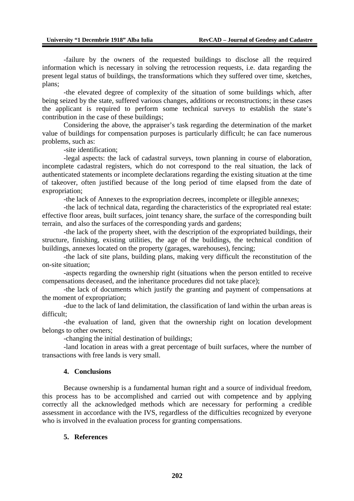-failure by the owners of the requested buildings to disclose all the required information which is necessary in solving the retrocession requests, i.e. data regarding the present legal status of buildings, the transformations which they suffered over time, sketches, plans;

-the elevated degree of complexity of the situation of some buildings which, after being seized by the state, suffered various changes, additions or reconstructions; in these cases the applicant is required to perform some technical surveys to establish the state's contribution in the case of these buildings;

Considering the above, the appraiser's task regarding the determination of the market value of buildings for compensation purposes is particularly difficult; he can face numerous problems, such as:

-site identification;

-legal aspects: the lack of cadastral surveys, town planning in course of elaboration, incomplete cadastral registers, which do not correspond to the real situation, the lack of authenticated statements or incomplete declarations regarding the existing situation at the time of takeover, often justified because of the long period of time elapsed from the date of expropriation;

-the lack of Annexes to the expropriation decrees, incomplete or illegible annexes;

-the lack of technical data, regarding the characteristics of the expropriated real estate: effective floor areas, built surfaces, joint tenancy share, the surface of the corresponding built terrain, and also the surfaces of the corresponding yards and gardens;

-the lack of the property sheet, with the description of the expropriated buildings, their structure, finishing, existing utilities, the age of the buildings, the technical condition of buildings, annexes located on the property (garages, warehouses), fencing;

-the lack of site plans, building plans, making very difficult the reconstitution of the on-site situation;

-aspects regarding the ownership right (situations when the person entitled to receive compensations deceased, and the inheritance procedures did not take place);

-the lack of documents which justify the granting and payment of compensations at the moment of expropriation;

-due to the lack of land delimitation, the classification of land within the urban areas is difficult;

-the evaluation of land, given that the ownership right on location development belongs to other owners;

-changing the initial destination of buildings;

-land location in areas with a great percentage of built surfaces, where the number of transactions with free lands is very small.

### **4. Conclusions**

Because ownership is a fundamental human right and a source of individual freedom, this process has to be accomplished and carried out with competence and by applying correctly all the acknowledged methods which are necessary for performing a credible assessment in accordance with the IVS, regardless of the difficulties recognized by everyone who is involved in the evaluation process for granting compensations.

# **5. References**